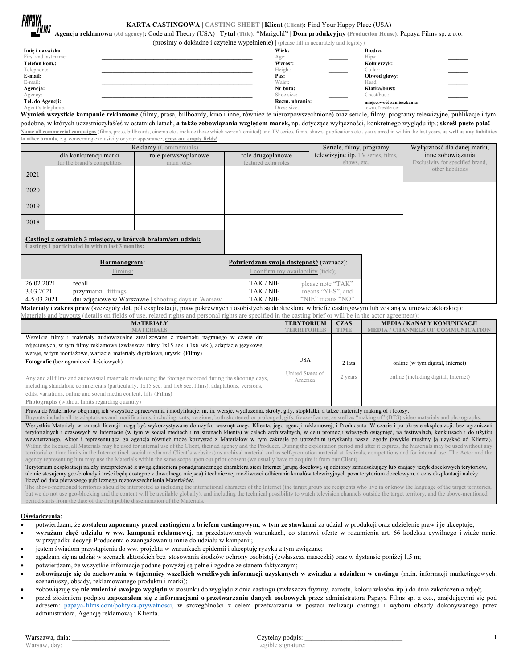| PAPAYA<br>ILIMS | <b>KARTA CASTINGOWA</b>   CASTING SHEET   <b>Klient</b> (Client): Find Your Happy Place (USA)                                                  |
|-----------------|------------------------------------------------------------------------------------------------------------------------------------------------|
|                 | Agencja reklamowa (Ad agency): Code and Theory (USA)   Tytuł (Title): "Marigold"   Dom produkcyjny (Production House): Papaya Films sp. z o.o. |

## **(BBF)**: Find Your Happy Place (USA)

(prosimy o dokładne i czytelne wypełnienie) | (please fill in accurately and legibly)

|                      | $\left($ probling $\sigma$ dominant region $\sigma$ is $\sigma$ in $\sigma$ is $\sigma$ in $\sigma$ and $\sigma$ is $\sigma$ is $\sigma$ is $\sigma$ is $\sigma$ is $\sigma$ is $\sigma$ is $\sigma$ is $\sigma$ is $\sigma$ is $\sigma$ is $\sigma$ is $\sigma$ is $\sigma$ is $\sigma$ is $\sigma$ is $\sigma$ is $\sigma$ is |                           |  |
|----------------------|---------------------------------------------------------------------------------------------------------------------------------------------------------------------------------------------------------------------------------------------------------------------------------------------------------------------------------|---------------------------|--|
| Imię i nazwisko      | Wiek:                                                                                                                                                                                                                                                                                                                           | Biodra:                   |  |
| First and last name: | Age:                                                                                                                                                                                                                                                                                                                            | Hips:                     |  |
| Telefon kom.:        | Wzrost:                                                                                                                                                                                                                                                                                                                         | Kolnierzyk:               |  |
| Telephone:           | Height:                                                                                                                                                                                                                                                                                                                         | Collar:                   |  |
| E-mail:              | Pas:                                                                                                                                                                                                                                                                                                                            | Obwód głowy:              |  |
| E-mail:              | Waist:                                                                                                                                                                                                                                                                                                                          | Head:                     |  |
| Agencja:             | Nr buta:                                                                                                                                                                                                                                                                                                                        | Klatka/biust:             |  |
| Agency:              | Shoe size:                                                                                                                                                                                                                                                                                                                      | Chest/bust:               |  |
| Tel. do Agencji:     | Rozm. ubrania:                                                                                                                                                                                                                                                                                                                  | miejscowość zamieszkania: |  |
| Agent's telephone:   | Dress size:                                                                                                                                                                                                                                                                                                                     | town of residence:        |  |

Agent's telephone:<br> **Wymień wszystkie kampanie reklamowe** (filmy, prasa, billboardy, kino i inne, również te nierozpowszechnione) oraz seriale, filmy, programy telewizyjne, publikacje i tym podobne, w których uczestniczyłaś/eś w ostatnich latach, **a także zobowiązania względem marek,** np. dotyczące wyłączności, konkretnego wyglądu itp.; **skreśl puste pola!**

Name all commercial campaigns (films, press, billboards, cinema etc., include those which weren't emitted) and TV series, films, shows, publications etc., you starred in within the last years, as well as any liabilities **to other brands**, e.g. concerning exclusivity or your appearance; **cross out empty fields!**

| <b>Reklamy</b> (Commercials)                                                                                     |                             |                                                     |                                         | Seriale, filmy, programy           | Wyłączność dla danej marki,      |
|------------------------------------------------------------------------------------------------------------------|-----------------------------|-----------------------------------------------------|-----------------------------------------|------------------------------------|----------------------------------|
|                                                                                                                  | dla konkurencji marki       | role pierwszoplanowe                                | role drugoplanowe                       | telewizyjne itp. TV series, films, | inne zobowiązania                |
|                                                                                                                  | for the brand's competitors | main roles                                          | featured extra roles                    | shows, etc.                        | Exclusivity for specified brand, |
| 2021                                                                                                             |                             |                                                     |                                         |                                    | other liabilities                |
|                                                                                                                  |                             |                                                     |                                         |                                    |                                  |
| 2020                                                                                                             |                             |                                                     |                                         |                                    |                                  |
|                                                                                                                  |                             |                                                     |                                         |                                    |                                  |
| 2019                                                                                                             |                             |                                                     |                                         |                                    |                                  |
|                                                                                                                  |                             |                                                     |                                         |                                    |                                  |
| 2018                                                                                                             |                             |                                                     |                                         |                                    |                                  |
| Castingi z ostatnich 3 miesiecy, w których brałam/em udział:<br>Castings I participated in within last 3 months: |                             |                                                     |                                         |                                    |                                  |
|                                                                                                                  | Harmonogram:                |                                                     | Potwierdzam swoją dostępność (zaznacz): |                                    |                                  |
| Timing:                                                                                                          |                             | I confirm my availability (tick);                   |                                         |                                    |                                  |
| 26.02.2021                                                                                                       | recall                      |                                                     | TAK / NIE                               | please note "TAK"                  |                                  |
| 3.03.2021                                                                                                        | przymiarki   fittings       |                                                     | TAK / NIE                               | means "YES", and                   |                                  |
| 4-5.03.2021                                                                                                      |                             | dni zdjęciowe w Warszawie   shooting days in Warsaw | TAK / NIE                               | "NIE" means "NO"                   |                                  |

**Materiały i zakres praw** (szczegóły dot. pól eksploatacji, praw pokrewnych i osobistych są dookreślone w briefie castingowym lub zostaną w umowie aktorskiej): Materials and buyouts (details on fields of use, related rights and personal rights are specified in the casting brief or will be in the actor agreement):

| uman wila oa loan laamin oli hare ol eea tamaa H <sup>a</sup> ho wila haho imi han ma shahina il ma awanif oha oo uu ah oo hi maan waaliyahi                                                                                                                                                                                                                          |                             |             |                                      |  |  |
|-----------------------------------------------------------------------------------------------------------------------------------------------------------------------------------------------------------------------------------------------------------------------------------------------------------------------------------------------------------------------|-----------------------------|-------------|--------------------------------------|--|--|
| <b>MATERIALY</b>                                                                                                                                                                                                                                                                                                                                                      | <b>TERYTORIUM</b>           | <b>CZAS</b> | <b>MEDIA / KANAŁY KOMUNIKACJI</b>    |  |  |
| <b>MATERIALS</b>                                                                                                                                                                                                                                                                                                                                                      | <b><i>TERRITORIES</i></b>   | <b>TIME</b> |                                      |  |  |
| Wszelkie filmy i materiały audiowizualne zrealizowane z materiału nagranego w czasie dni                                                                                                                                                                                                                                                                              |                             |             |                                      |  |  |
| zdjeciowych, w tym filmy reklamowe (zwłaszcza filmy 1x15 sek. i 1x6 sek.), adaptacje jezykowe,                                                                                                                                                                                                                                                                        |                             |             |                                      |  |  |
| wersje, w tym montażowe, wariacje, materiały digitalowe, urywki (Filmy)                                                                                                                                                                                                                                                                                               |                             |             |                                      |  |  |
| Fotografie (bez ograniczeń ilościowych)                                                                                                                                                                                                                                                                                                                               | <b>USA</b>                  | 2 lata      | online (w tym digital, Internet)     |  |  |
| Any and all films and audiovisual materials made using the footage recorded during the shooting days,<br>including standalone commercials (particularly, 1x15 sec. and 1x6 sec. films), adaptations, versions,<br>edits, variations, online and social media content, lifts (Films)<br><b>Photographs</b> (without limits regarding quantity)                         | United States of<br>America | 2 years     | online (including digital, Internet) |  |  |
| Prawa do Materiałów obejmują ich wszystkie opracowania i modyfikacje: m. in. wersje, wydłużenia, skróty, gify, stopklatki, a także materiały making of i fotosy.<br>Buyouts include all its adaptations and modifications, including: cuts, versions, both shortened or prolonged, gifs, freeze-frames, as well as "making of" (BTS) video materials and photographs. |                             |             |                                      |  |  |
| Wszystkie Materiały w ramach licencji mogą być wykorzystywane do użytku wewnetrznego Klienta, jego agencji reklamowej, i Producenta. W czasie i po okresie eksploatacji: bez ograniczeń                                                                                                                                                                               |                             |             |                                      |  |  |

terytorialnych i czasowych w Internecie (w tym w social mediach i na stronach klienta) w celach archiwalnych, w celu promocji własnych osiągnięć, na festiwalach, konkursach i do użytku wewnętrznego. Aktor i reprezentująca go agencja również może korzystać z Materiałów w tym zakresie po uprzednim uzyskaniu naszej zgody (zwykle musimy ją uzyskać od Klienta). Within the license, all Materials may be used for internal use of the Client, their ad agency and the Producer. During the exploitation period and after it expires, the Materials may be used without any territorial or time limits in the Internet (incl. social media and Client's websites) as archival material and as self-promotion material at festivals, competitions and for internal use. The Actor and the ting him may use the Materials within the same scope upon our prior consent (we usually have to acquire it from our Client

Terytorium eksploatacji należy interpretować z uwzględnieniem ponadgranicznego charakteru sieci Internet (grupą docelową są odbiorcy zamieszkujący lub znający język docelowych terytoriów, ale nie stosujemy geo-blokady i treści będą dostępne z dowolnego miejsca) i technicznej możliwości odbierania kanałów telewizyjnych poza terytorium docelowym, a czas eksploatacji należy liczyć od dnia pierwszego publicznego rozpowszechnienia Materiałów.

The above-mentioned territories should be interpreted as including the international character of the Internet (the target group are recipients who live in or know the language of the target territories, but we do not use geo-blocking and the content will be available globally), and including the technical possibility to watch television channels outside the target territory, and the above-mentioned period starts from the date of the first public dissemination of the Materials.

## **Oświadczenia**:

- potwierdzam, że **zostałem zapoznany przed castingiem z briefem castingowym, w tym ze stawkami** za udział w produkcji oraz udzielenie praw i je akceptuję;
- **wyrażam chęć udziału w ww. kampanii reklamowej**, na przedstawionych warunkach, co stanowi ofertę w rozumieniu art. 66 kodeksu cywilnego i wiąże mnie, w przypadku decyzji Producenta o zaangażowaniu mnie do udziału w kampanii;
- jestem świadom przystąpienia do ww. projektu w warunkach epidemii i akceptuję ryzyka z tym związane;
- zgadzam się na udział w scenach aktorskich bez stosowania środków ochrony osobistej (zwłaszcza maseczki) oraz w dystansie poniżej 1,5 m;
- potwierdzam, że wszystkie informacje podane powyżej są pełne i zgodne ze stanem faktycznym;
- **zobowiązuję się do zachowania w tajemnicy wszelkich wrażliwych informacji uzyskanych w związku z udziałem w castingu** (m.in. informacji marketingowych, scenariuszy, obsady, reklamowanego produktu i marki);
- zobowiązuję się **nie zmieniać swojego wyglądu** w stosunku do wyglądu z dnia castingu (zwłaszcza fryzury, zarostu, koloru włosów itp.) do dnia zakończenia zdjęć;
- przed złożeniem podpisu **zapoznałem się z informacjami o przetwarzaniu danych osobowych** przez administratora Papaya Films sp. z o.o., znajdującymi się pod adresem: papaya-films.com/polityka-prywatnosci, w szczególności z celem przetwarzania w postaci realizacji castingu i wyboru obsady dokonywanego przez administratora, Agencję reklamową i Klienta.